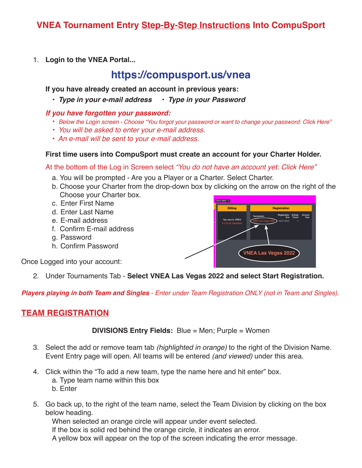# **VNEA Tournament Entry Step-By-Step Instructions Into CompuSport**

1. **Login to the VNEA Portal...**

# **https://compusport.us/vnea**

 **If you have already created an account in previous years:**

 *• Type in your e-mail address • Type in your Password*

### *If you have forgotten your password:*

- *• Below the Login screen Choose "You forgot your password or want to change your password: Click Here"*
- *You will be asked to enter your e-mail address.*
- *An e-mail will be sent to your e-mail address.*

### **First time users into CompuSport must create an account for your Charter Holder.**

At the bottom of the Log in Screen select *"You do not have an account yet: Click Here"*

- a. You will be prompted Are you a Player or a Charter. Select Charter.
- b. Choose your Charter from the drop-down box by clicking on the arrow on the right of the Choose your Charter box.
- c. Enter First Name
- d. Enter Last Name
- e. E-mail address
- f. Confirm E-mail address
- g. Password
- h. Confirm Password

Once Logged into your account:

2. Under Tournaments Tab - **Select VNEA Las Vegas 2022 and select Start Registration.**

*Players playing in both Team and Singles - Enter under Team Registration ONLY (not in Team and Singles).*

## **TEAM REGISTRATION**

**DIVISIONS Entry Fields:** Blue = Men; Purple = Women

- 3. Select the add or remove team tab *(highlighted in orange)* to the right of the Division Name. Event Entry page will open. All teams will be entered *(and viewed)* under this area.
- 4. Click within the "To add a new team, type the name here and hit enter" box. a. Type team name within this box b. Enter
- 5. Go back up, to the right of the team name, select the Team Division by clicking on the box below heading.

When selected an orange circle will appear under event selected.

If the box is solid red behind the orange circle, it indicates an error.

A yellow box will appear on the top of the screen indicating the error message.

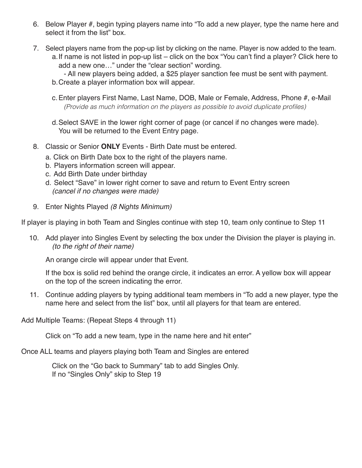- 6. Below Player #, begin typing players name into "To add a new player, type the name here and select it from the list" box.
- 7. Select players name from the pop-up list by clicking on the name. Player is now added to the team. a. If name is not listed in pop-up list – click on the box "You can't find a player? Click here to add a new one…" under the "clear section" wording.
	- All new players being added, a \$25 player sanction fee must be sent with payment. b.Create a player information box will appear.
	- c.Enter players First Name, Last Name, DOB, Male or Female, Address, Phone #, e-Mail (Provide as much information on the players as possible to avoid duplicate profiles)
	- d.Select SAVE in the lower right corner of page (or cancel if no changes were made). You will be returned to the Event Entry page.
- 8. Classic or Senior **ONLY** Events Birth Date must be entered.
	- a. Click on Birth Date box to the right of the players name.
	- b. Players information screen will appear.
	- c. Add Birth Date under birthday
	- d. Select "Save" in lower right corner to save and return to Event Entry screen *(cancel if no changes were made)*
- 9. Enter Nights Played *(8 Nights Minimum)*

If player is playing in both Team and Singles continue with step 10, team only continue to Step 11

10. Add player into Singles Event by selecting the box under the Division the player is playing in.  *(to the right of their name)* 

An orange circle will appear under that Event.

 If the box is solid red behind the orange circle, it indicates an error. A yellow box will appear on the top of the screen indicating the error.

11. Continue adding players by typing additional team members in "To add a new player, type the name here and select from the list" box, until all players for that team are entered.

Add Multiple Teams: (Repeat Steps 4 through 11)

Click on "To add a new team, type in the name here and hit enter"

Once ALL teams and players playing both Team and Singles are entered

 Click on the "Go back to Summary" tab to add Singles Only. If no "Singles Only" skip to Step 19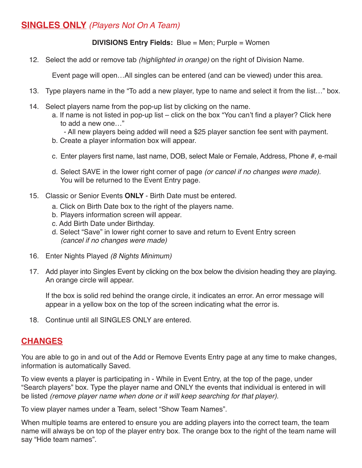# **SINGLES ONLY** *(Players Not On A Team)*

### **DIVISIONS Entry Fields:** Blue = Men; Purple = Women

12. Select the add or remove tab *(highlighted in orange)* on the right of Division Name.

Event page will open…All singles can be entered (and can be viewed) under this area.

- 13. Type players name in the "To add a new player, type to name and select it from the list…" box.
- 14. Select players name from the pop-up list by clicking on the name.
	- a. If name is not listed in pop-up list click on the box "You can't find a player? Click here to add a new one…"
		- All new players being added will need a \$25 player sanction fee sent with payment.
	- b. Create a player information box will appear.
	- c. Enter players first name, last name, DOB, select Male or Female, Address, Phone #, e-mail
	- d. Select SAVE in the lower right corner of page *(or cancel if no changes were made).* You will be returned to the Event Entry page.
- 15. Classic or Senior Events **ONLY**  Birth Date must be entered.
	- a. Click on Birth Date box to the right of the players name.
	- b. Players information screen will appear.
	- c. Add Birth Date under Birthday.
	- d. Select "Save" in lower right corner to save and return to Event Entry screen  *(cancel if no changes were made)*
- 16. Enter Nights Played *(8 Nights Minimum)*
- 17. Add player into Singles Event by clicking on the box below the division heading they are playing. An orange circle will appear.

 If the box is solid red behind the orange circle, it indicates an error. An error message will appear in a yellow box on the top of the screen indicating what the error is.

18. Continue until all SINGLES ONLY are entered.

### **CHANGES**

You are able to go in and out of the Add or Remove Events Entry page at any time to make changes, information is automatically Saved.

To view events a player is participating in - While in Event Entry, at the top of the page, under "Search players" box. Type the player name and ONLY the events that individual is entered in will be listed *(remove player name when done or it will keep searching for that player).*

To view player names under a Team, select "Show Team Names".

When multiple teams are entered to ensure you are adding players into the correct team, the team name will always be on top of the player entry box. The orange box to the right of the team name will say "Hide team names".